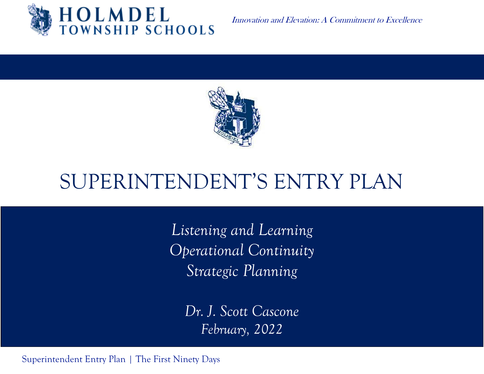

Innovation and Elevation: A Commitment to Excellence



# SUPERINTENDENT'S ENTRY PLAN

*Listening and Learning Operational Continuity Strategic Planning*

> *Dr. J. Scott Cascone February, 2022*

Superintendent Entry Plan | The First Ninety Days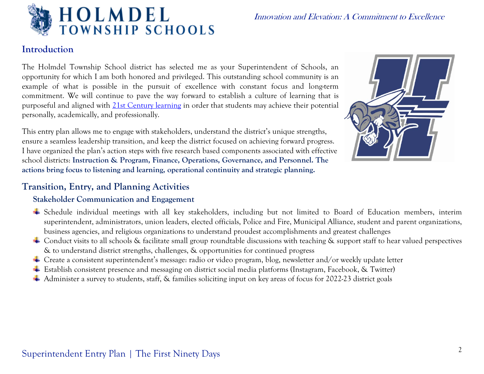

#### **Introduction**

The Holmdel Township School district has selected me as your Superintendent of Schools, an opportunity for which I am both honored and privileged. This outstanding school community is an example of what is possible in the pursuit of excellence with constant focus and long-term commitment. We will continue to pave the way forward to establish a culture of learning that is purposeful and aligned with [21st Century learning](https://education-reimagined.org/resources/partnership-for-21st-century-learning/) in order that students may achieve their potential personally, academically, and professionally.

This entry plan allows me to engage with stakeholders, understand the district's unique strengths, ensure a seamless leadership transition, and keep the district focused on achieving forward progress. I have organized the plan's action steps with five research based components associated with effective school districts: **Instruction & Program, Finance, Operations, Governance, and Personnel. The actions bring focus to listening and learning, operational continuity and strategic planning.** 



### **Transition, Entry, and Planning Activities**

#### **Stakeholder Communication and Engagement**

- Schedule individual meetings with all key stakeholders, including but not limited to Board of Education members, interim superintendent, administrators, union leaders, elected officials, Police and Fire, Municipal Alliance, student and parent organizations, business agencies, and religious organizations to understand proudest accomplishments and greatest challenges
- Conduct visits to all schools & facilitate small group roundtable discussions with teaching & support staff to hear valued perspectives & to understand district strengths, challenges, & opportunities for continued progress
- Create a consistent superintendent's message: radio or video program, blog, newsletter and/or weekly update letter
- Establish consistent presence and messaging on district social media platforms (Instagram, Facebook, & Twitter)
- Administer a survey to students, staff, & families soliciting input on key areas of focus for 2022-23 district goals